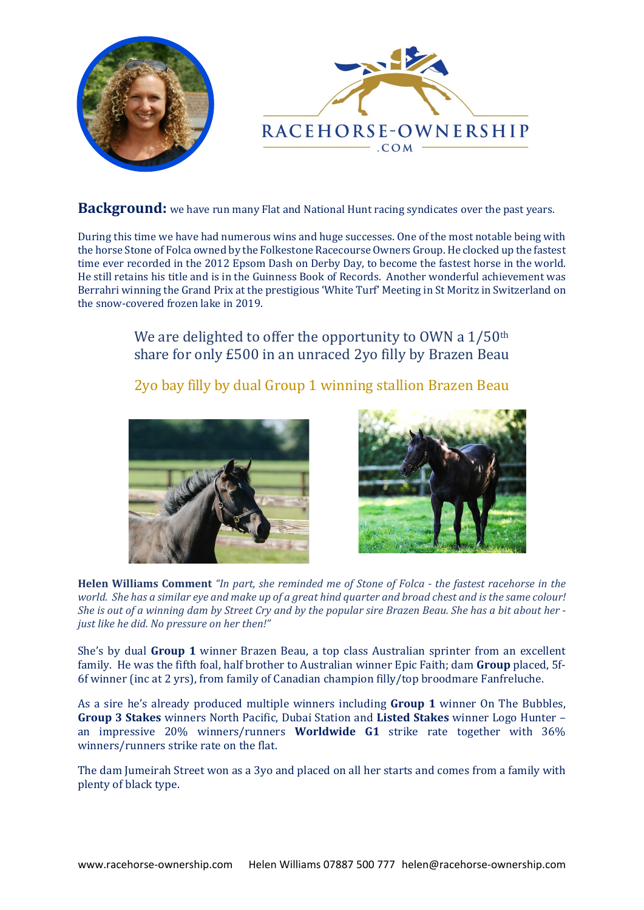



Background: we have run many Flat and National Hunt racing syndicates over the past years.

During this time we have had numerous wins and huge successes. One of the most notable being with the horse Stone of Folca owned by the Folkestone Racecourse Owners Group. He clocked up the fastest time ever recorded in the 2012 Epsom Dash on Derby Day, to become the fastest horse in the world. He still retains his title and is in the Guinness Book of Records. Another wonderful achievement was Berrahri winning the Grand Prix at the prestigious 'White Turf' Meeting in St Moritz in Switzerland on the snow-covered frozen lake in 2019.

> We are delighted to offer the opportunity to OWN a 1/50<sup>th</sup> share for only £500 in an unraced 2yo filly by Brazen Beau

> 2yo bay filly by dual Group 1 winning stallion Brazen Beau





**Helen Williams Comment** *"In part, she reminded me of Stone of Folca - the fastest racehorse in the world. She has a similar eye and make up of a great hind quarter and broad chest and is the same colour! She is out of a winning dam by Street Cry and by the popular sire Brazen Beau. She has a bit about her just like he did. No pressure on her then!"* 

She's by dual **Group 1** winner Brazen Beau, a top class Australian sprinter from an excellent family. He was the fifth foal, half brother to Australian winner Epic Faith; dam **Group** placed, 5f-6f winner (inc at 2 yrs), from family of Canadian champion filly/top broodmare Fanfreluche.

As a sire he's already produced multiple winners including **Group 1** winner On The Bubbles, **Group 3 Stakes** winners North Pacific, Dubai Station and **Listed Stakes** winner Logo Hunter – an impressive 20% winners/runners **Worldwide G1** strike rate together with 36% winners/runners strike rate on the flat.

The dam Jumeirah Street won as a 3yo and placed on all her starts and comes from a family with plenty of black type.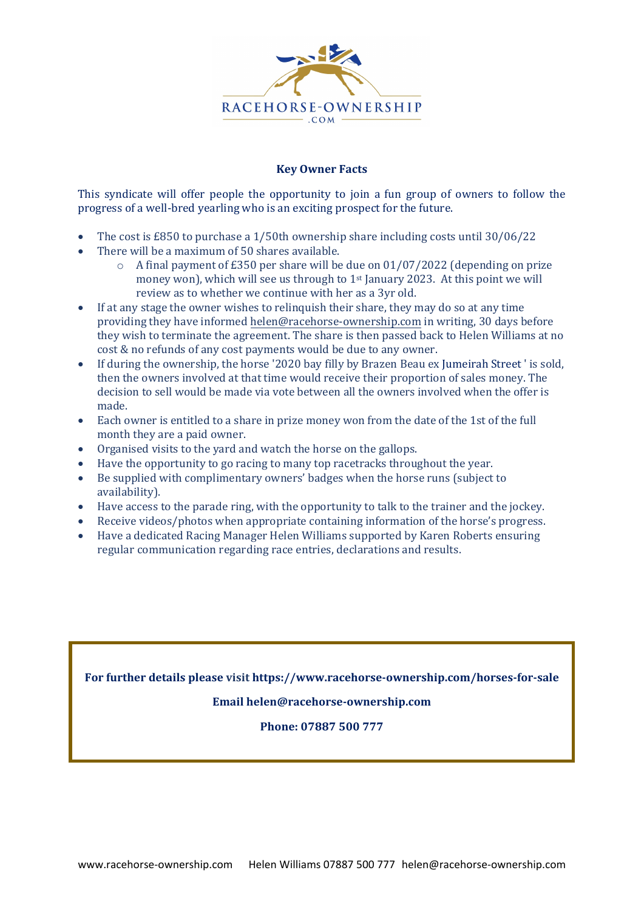

## **Key Owner Facts**

This syndicate will offer people the opportunity to join a fun group of owners to follow the progress of a well-bred yearling who is an exciting prospect for the future.

- The cost is £850 to purchase a 1/50th ownership share including costs until 30/06/22
- There will be a maximum of 50 shares available.<br>  $\circ$  A final navment of £350 per share will be
	- A final payment of  $£350$  per share will be due on  $01/07/2022$  (depending on prize money won), which will see us through to 1st January 2023. At this point we will review as to whether we continue with her as a 3yr old.
- If at any stage the owner wishes to relinquish their share, they may do so at any time providing they have informed [helen@racehorse-ownership.com](mailto:helen@racehorse-ownership.com) in writing, 30 days before they wish to terminate the agreement. The share is then passed back to Helen Williams at no cost & no refunds of any cost payments would be due to any owner.
- If during the ownership, the horse '2020 bay filly by Brazen Beau ex Jumeirah Street ' is sold, then the owners involved at that time would receive their proportion of sales money. The decision to sell would be made via vote between all the owners involved when the offer is made.
- Each owner is entitled to a share in prize money won from the date of the 1st of the full month they are a paid owner.
- Organised visits to the yard and watch the horse on the gallops.
- Have the opportunity to go racing to many top racetracks throughout the year.
- Be supplied with complimentary owners' badges when the horse runs (subject to availability).
- Have access to the parade ring, with the opportunity to talk to the trainer and the jockey.
- Receive videos/photos when appropriate containing information of the horse's progress.
- Have a dedicated Racing Manager Helen Williams supported by Karen Roberts ensuring regular communication regarding race entries, declarations and results.

**For further details please visit<https://www.racehorse-ownership.com/horses-for-sale>**

## **Email [helen@racehorse-ownership.com](mailto:helen@racehorse-ownership.com)**

**Phone: 07887 500 777**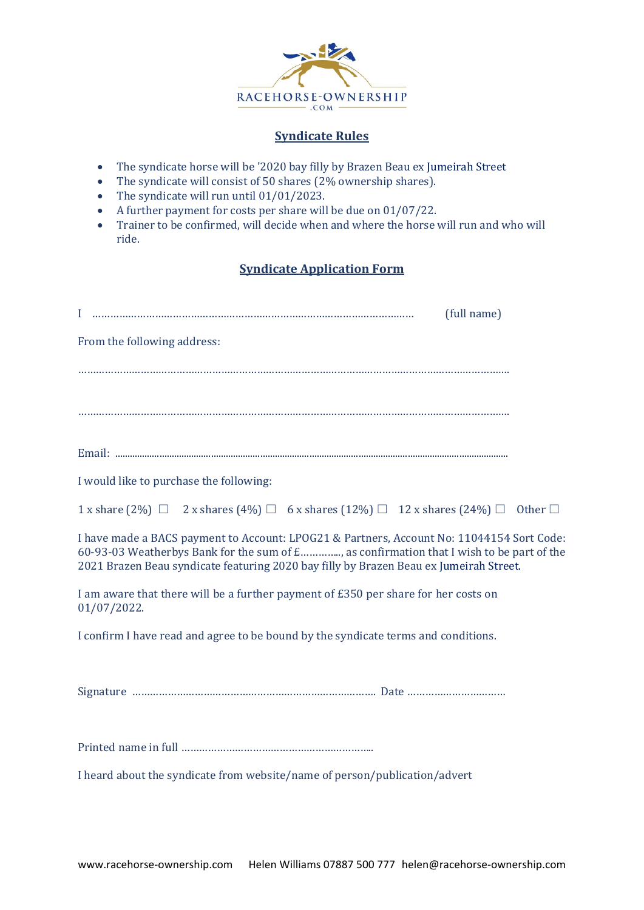

# **Syndicate Rules**

- The syndicate horse will be '2020 bay filly by Brazen Beau ex Jumeirah Street
- The syndicate will consist of 50 shares (2% ownership shares).
- The syndicate will run until 01/01/2023.
- A further payment for costs per share will be due on 01/07/22.<br>• Trainer to be confirmed, will decide when and where the horse
- Trainer to be confirmed, will decide when and where the horse will run and who will ride.

# **Syndicate Application Form**

| (full name)                                                                                                                                                                                                                                                                     |  |  |  |  |
|---------------------------------------------------------------------------------------------------------------------------------------------------------------------------------------------------------------------------------------------------------------------------------|--|--|--|--|
| From the following address:                                                                                                                                                                                                                                                     |  |  |  |  |
|                                                                                                                                                                                                                                                                                 |  |  |  |  |
|                                                                                                                                                                                                                                                                                 |  |  |  |  |
|                                                                                                                                                                                                                                                                                 |  |  |  |  |
|                                                                                                                                                                                                                                                                                 |  |  |  |  |
| I would like to purchase the following:                                                                                                                                                                                                                                         |  |  |  |  |
| 1 x share $(2\%)$ $\Box$ 2 x shares $(4\%)$ $\Box$ 6 x shares $(12\%)$ $\Box$ 12 x shares $(24\%)$ $\Box$ Other $\Box$                                                                                                                                                          |  |  |  |  |
| I have made a BACS payment to Account: LPOG21 & Partners, Account No: 11044154 Sort Code:<br>60-93-03 Weatherbys Bank for the sum of £, as confirmation that I wish to be part of the<br>2021 Brazen Beau syndicate featuring 2020 bay filly by Brazen Beau ex Jumeirah Street. |  |  |  |  |
| I am aware that there will be a further payment of £350 per share for her costs on<br>$01/07/2022$ .                                                                                                                                                                            |  |  |  |  |
| I confirm I have read and agree to be bound by the syndicate terms and conditions.                                                                                                                                                                                              |  |  |  |  |
|                                                                                                                                                                                                                                                                                 |  |  |  |  |
|                                                                                                                                                                                                                                                                                 |  |  |  |  |
|                                                                                                                                                                                                                                                                                 |  |  |  |  |
| I heard about the syndicate from website/name of person/publication/advert                                                                                                                                                                                                      |  |  |  |  |